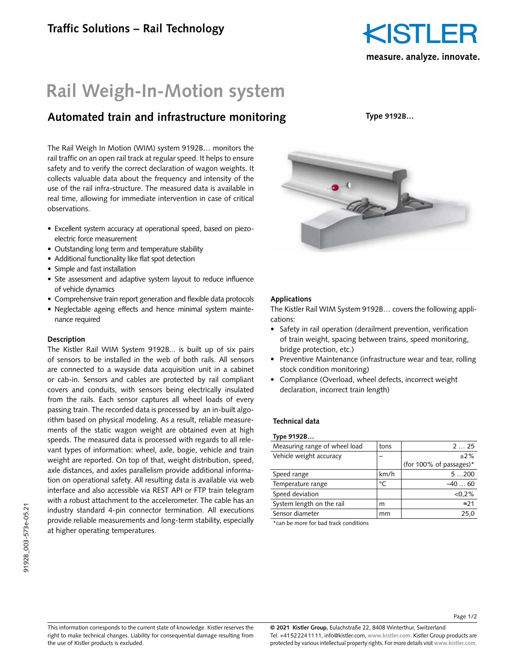

## **Rail Weigh-In-Motion system**

### **Automated train and infrastructure monitoring**

The Rail Weigh In Motion (WIM) system 9192B… monitors the rail traffic on an open rail track at regular speed. It helps to ensure safety and to verify the correct declaration of wagon weights. It collects valuable data about the frequency and intensity of the use of the rail infra-structure. The measured data is available in real time, allowing for immediate intervention in case of critical observations.

- Excellent system accuracy at operational speed, based on piezoelectric force measurement
- Outstanding long term and temperature stability
- Additional functionality like flat spot detection
- Simple and fast installation
- Site assessment and adaptive system layout to reduce influence of vehicle dynamics
- Comprehensive train report generation and flexible data protocols
- Neglectable ageing effects and hence minimal system maintenance required

#### **Description**

The Kistler Rail WIM System 9192B... is built up of six pairs of sensors to be installed in the web of both rails. All sensors are connected to a wayside data acquisition unit in a cabinet or cab-in. Sensors and cables are protected by rail compliant covers and conduits, with sensors being electrically insulated from the rails. Each sensor captures all wheel loads of every passing train. The recorded data is processed by an in-built algorithm based on physical modeling. As a result, reliable measurements of the static wagon weight are obtained even at high speeds. The measured data is processed with regards to all relevant types of information: wheel, axle, bogie, vehicle and train weight are reported. On top of that, weight distribution, speed, axle distances, and axles parallelism provide additional information on operational safety. All resulting data is available via web interface and also accessible via REST API or FTP train telegram with a robust attachment to the accelerometer. The cable has an industry standard 4-pin connector termination. All executions provide reliable measurements and long-term stability, especially at higher operating temperatures.

**Type 9192B…**



#### **Applications**

The Kistler Rail WIM System 9192B… covers the following applications:

- Safety in rail operation (derailment prevention, verification of train weight, spacing between trains, speed monitoring, bridge protection, etc.)
- Preventive Maintenance (infrastructure wear and tear, rolling stock condition monitoring)
- Compliance (Overload, wheel defects, incorrect weight declaration, incorrect train length)

#### **Technical data**

| Type 9192B                    |         |                            |
|-------------------------------|---------|----------------------------|
| Measuring range of wheel load | tons    | 2. 25                      |
| Vehicle weight accuracy       |         | $+2%$                      |
|                               |         | (for 100% of passages) $*$ |
| Speed range                   | km/h    | 5200                       |
| Temperature range             | $\circ$ | -40 60                     |
| Speed deviation               |         | < 0.2%                     |
| System length on the rail     | m       | $\approx$ 21               |

Sensor diameter mm mm 25,0

\*can be more for bad track conditions

Page 1/2